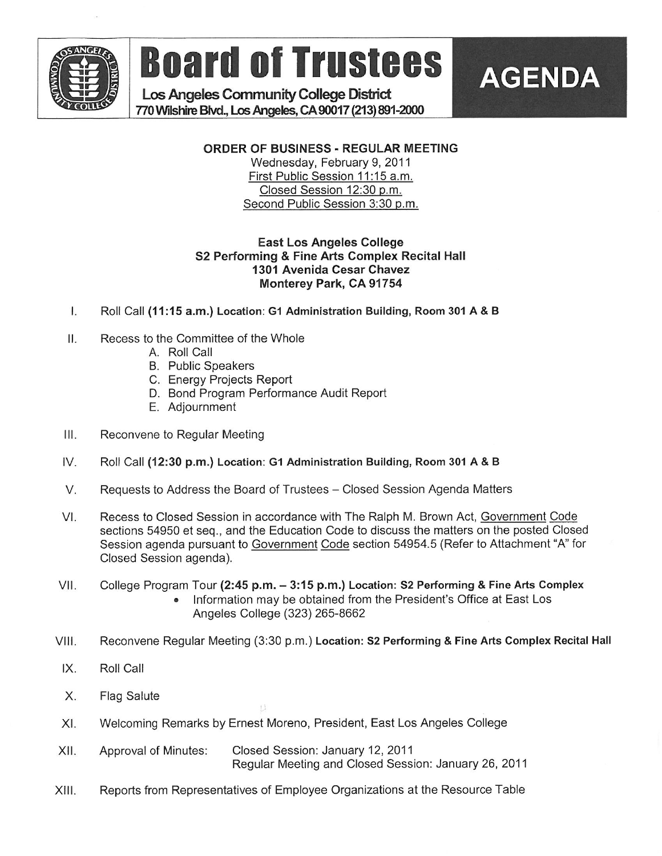

**Example Board of Trustees AGENDA** 

Los Angeles Community College District . 770 Wilshirc Btvd, Los Angeles, CA 90017 (213) 891-2000

# ORDER OF BUSINESS - REGULAR MEETING

Wednesday, February 9, 2011 First Public Session 11:15 a.m. Closed Session 12:30 p.m. Second Public Session 3:30 p.m.

#### East Los Angeles College S2 Performing & Fine Arts Complex Recital Hall 1301 Avenida Cesar Chavez Monterey Park, CA 91754

- I. Roll Call (11:15 a.m.) Location: G1 Administration Building, Room 301 A&B
- II. Recess to the Committee of the Whole
	- A. Roll Call
	- B. Public Speakers
	- C. Energy Projects Report
	- D. Bond Program Performance Audit Report
	- E. Adjournment
- III. Reconvene to Regular Meeting
- IV. Roll Call (12:30 p.m.) Location: G1 Administration Building, Room 301 A & B
- V. Requests to Address the Board of Trustees Closed Session Agenda Matters
- VI. Recess to Closed Session in accordance with The Ralph M. Brown Act, Government Code sections 54950 et seq., and the Education Code to discuss the matters on the posted Closed Session agenda pursuant to Government Code section 54954.5 (Refer to Attachment "A" for Closed Session agenda).
- VII. College Program Tour (2:45 p.m. 3:15 p.m.) Location: S2 Performing & Fine Arts Complex . Information may be obtained from the President's Office at East Los Angeles College (323) 265-8662
- VIII. Reconvene Regular Meeting (3:30 p.m.) Location: S2 Performing & Fine Arts Complex Recital Hall
- IX. Roll Call
- X. Flag Salute
- Xl. Welcoming Remarks by Ernest Moreno, President, East Los Angeles College
- XII. Approval of Minutes: Closed Session: January 12, 2011 Regular Meeting and Closed Session: January 26, 2011
- XIII. Reports from Representatives of Employee Organizations at the Resource Table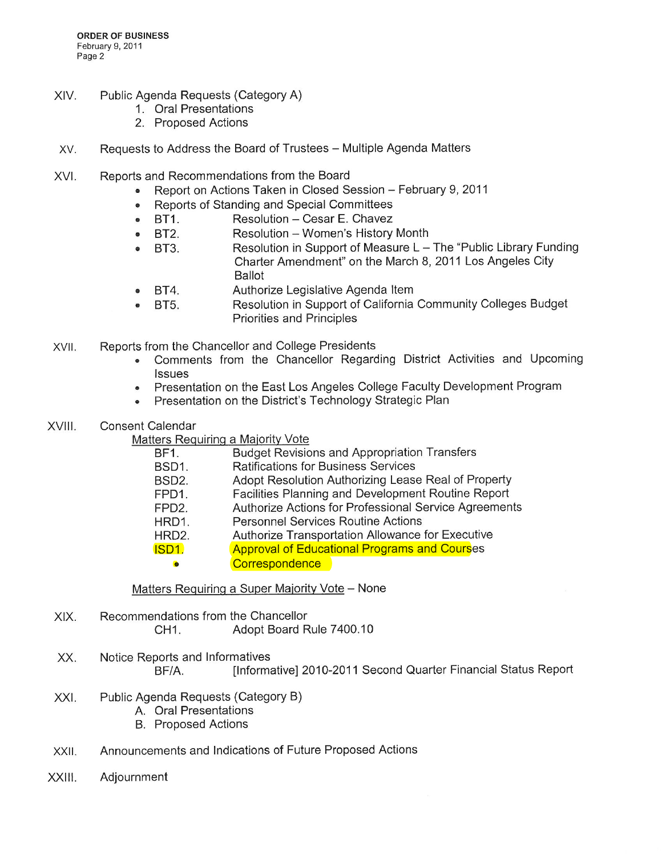- XIV. Public Agenda Requests (Category A)
	- 1. Oral Presentations
	- 2. Proposed Actions
- XV. Requests to Address the Board of Trustees Multiple Agenda Matters
- XVI. Reports and Recommendations from the Board
	- Report on Actions Taken in Closed Session February 9, 2011
	- . Reports of Standing and Special Committees
	- BT1. Resolution Cesar E. Chavez
	- BT2. Resolution Women's History Month
	- BT3. Resolution in Support of Measure L The "Public Library Funding" Charter Amendment" on the March 8, 2011 Los Angeles City Ballot
	- . BT4. Authorize Legislative Agenda Item
	- BT5. Resolution in Support of California Community Colleges Budget Priorities and Principles
- XVII. Reports from the Chancellor and College Presidents
	- . Comments from the Chancellor Regarding District Activities and Upcoming **Issues**
	- . Presentation on the East Los Angeles College Faculty Development Program
	- . Presentation on the District's Technology Strategic Plan
- XVIII. Consent Calendar
	- Matters Requiring a Majority Vote

| itors reguming a majority voto |                                                       |  |
|--------------------------------|-------------------------------------------------------|--|
| BF1.                           | <b>Budget Revisions and Appropriation Transfers</b>   |  |
| BSD1.                          | <b>Ratifications for Business Services</b>            |  |
| BSD <sub>2</sub> .             | Adopt Resolution Authorizing Lease Real of Property   |  |
| FPD1.                          | Facilities Planning and Development Routine Report    |  |
| FPD <sub>2</sub> .             | Authorize Actions for Professional Service Agreements |  |
| HRD1.                          | <b>Personnel Services Routine Actions</b>             |  |
| HRD2.                          | Authorize Transportation Allowance for Executive      |  |
| ISD1.                          | <b>Approval of Educational Programs and Courses</b>   |  |
| $\bullet$                      | Correspondence                                        |  |
|                                |                                                       |  |

Matters Requiring a Super Majority Vote - None

- XIX. Recommendations from the Chancellor CH1. Adopt Board Rule 7400.10
- XX. Notice Reports and Informatives BF/A. [Informative] 2010-2011 Second Quarter Financial Status Report
- XXI. Public Agenda Requests (Category B)
	- A. Oral Presentations
	- B. Proposed Actions
- XXII. Announcements and Indications of Future Proposed Actions
- XXilI. Adjournment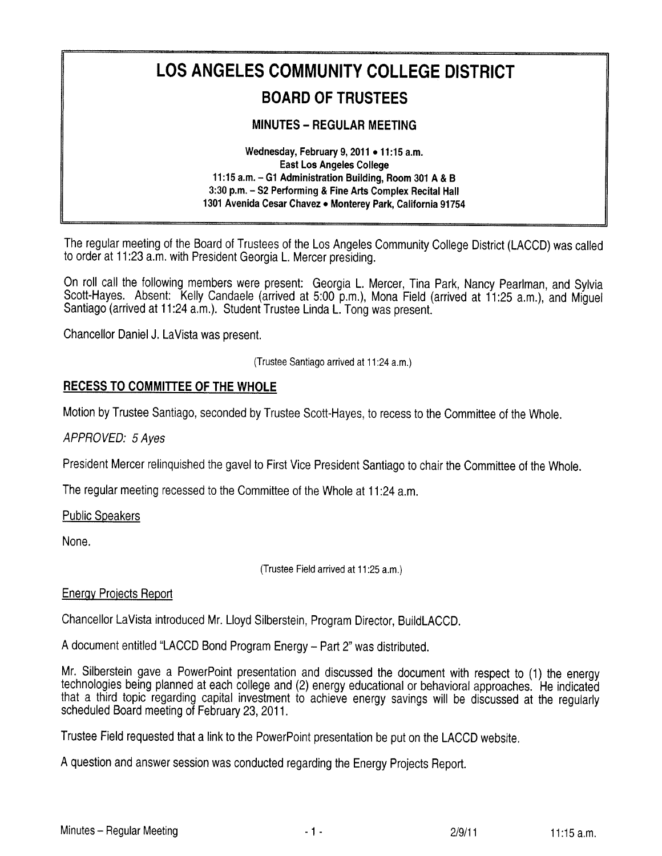# LOS ANGELES COMMUNITY COLLEGE DISTRICT **BOARD OF TRUSTEES**

# **MINUTES - REGULAR MEETING**

Wednesday, February 9, 2011 . 11:15 a.m. **East Los Angeles College** 11:15 a.m. - G1 Administration Building, Room 301 A & B 3:30 p.m. - S2 Performing & Fine Arts Complex Recital Hall 1301 Avenida Cesar Chavez . Monterey Park, California 91754

The regular meeting of the Board of Trustees of the Los Angeles Community College District (LACCD) was called to order at 11:23 a.m. with President Georgia L. Mercer presiding.

On roll call the following members were present: Georgia L. Mercer, Tina Park, Nancy Pearlman, and Sylvia Scott-Haves. Absent: Kelly Candaele (arrived at 5:00 p.m.), Mona Field (arrived at 11:25 a.m.), and Miquel Santiago (arrived at 11:24 a.m.). Student Trustee Linda L. Tong was present.

Chancellor Daniel J. LaVista was present.

(Trustee Santiago arrived at 11:24 a.m.)

#### **RECESS TO COMMITTEE OF THE WHOLE**

Motion by Trustee Santiago, seconded by Trustee Scott-Haves, to recess to the Committee of the Whole.

APPROVED: 5 Aves

President Mercer relinguished the gavel to First Vice President Santiago to chair the Committee of the Whole.

The regular meeting recessed to the Committee of the Whole at 11:24 a.m.

**Public Speakers** 

None.

(Trustee Field arrived at 11:25 a.m.)

#### **Energy Projects Report**

Chancellor LaVista introduced Mr. Lloyd Silberstein, Program Director, BuildLACCD.

A document entitled "LACCD Bond Program Energy - Part 2" was distributed.

Mr. Silberstein gave a PowerPoint presentation and discussed the document with respect to (1) the energy technologies being planned at each college and (2) energy educational or behavioral approaches. He indicated that a third topic regarding capital investment to achieve energy savings will be discussed at the regularly scheduled Board meeting of February 23, 2011.

Trustee Field requested that a link to the PowerPoint presentation be put on the LACCD website.

A question and answer session was conducted regarding the Energy Projects Report.